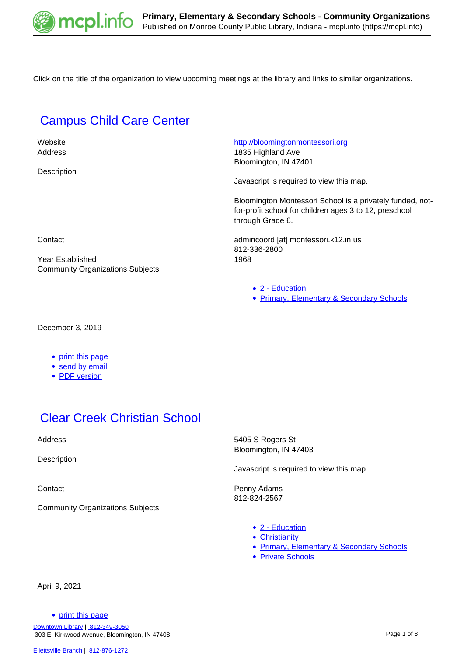

Click on the title of the organization to view upcoming meetings at the library and links to similar organizations.

# **[Campus Child Care Center](https://mcpl.info/commorg/bloomington-montessori-school)**

**Description** 

 Website <http://bloomingtonmontessori.org> Address 1835 Highland Ave

Bloomington, IN 47401

Javascript is required to view this map.

Bloomington Montessori School is a privately funded, notfor-profit school for children ages 3 to 12, preschool through Grade 6.

Contact admincoord [at] montessori.k12.in.us 812-336-2800 Year Established 1968

[2 - Education](https://mcpl.info/community-organization-subjects/24947)

• [Primary, Elementary & Secondary Schools](https://mcpl.info/taxonomy/term/24977)

December 3, 2019

• [print this page](https://mcpl.info/print/commorg/bloomington-montessori-school)

Community Organizations Subjects

- **[send by email](https://mcpl.info/printmail/commorg/bloomington-montessori-school)**
- [PDF version](https://mcpl.info/printpdf/commorg/bloomington-montessori-school)

# [Clear Creek Christian School](https://mcpl.info/commorg/clear-creek-christian-school)

**Description** 

Community Organizations Subjects

Address 5405 S Rogers St Bloomington, IN 47403

Javascript is required to view this map.

Contact **Penny Adams** 812-824-2567

- [2 Education](https://mcpl.info/community-organization-subjects/24947)
- [Christianity](https://mcpl.info/community-organization-subjects/christianity)
- [Primary, Elementary & Secondary Schools](https://mcpl.info/taxonomy/term/24977)
- [Private Schools](https://mcpl.info/taxonomy/term/24978)

April 9, 2021

• [print this page](https://mcpl.info/print/commorg/clear-creek-christian-school)

[Downtown Library](https://mcpl.info/geninfo/downtown-library) | [812-349-3050](tel:812-349-3050) 303 E. Kirkwood Avenue, Bloomington, IN 47408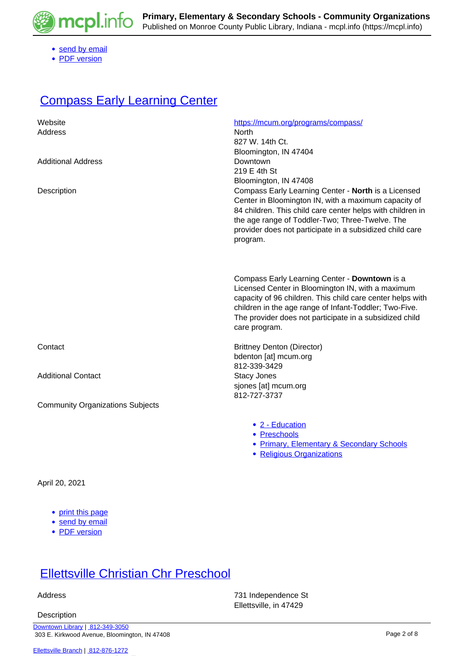

- [send by email](https://mcpl.info/printmail/commorg/clear-creek-christian-school)
- [PDF version](https://mcpl.info/printpdf/commorg/clear-creek-christian-school)

## **[Compass Early Learning Center](https://mcpl.info/commorg/monroe-county-united-ministries-day-care-preschool)**

| Website<br>Address                      | https://mcum.org/programs/compass/<br>North<br>827 W. 14th Ct.<br>Bloomington, IN 47404                                                                                                                                                                                                                |
|-----------------------------------------|--------------------------------------------------------------------------------------------------------------------------------------------------------------------------------------------------------------------------------------------------------------------------------------------------------|
| <b>Additional Address</b>               | Downtown<br>219 E 4th St<br>Bloomington, IN 47408                                                                                                                                                                                                                                                      |
| Description                             | Compass Early Learning Center - North is a Licensed<br>Center in Bloomington IN, with a maximum capacity of<br>84 children. This child care center helps with children in<br>the age range of Toddler-Two; Three-Twelve. The<br>provider does not participate in a subsidized child care<br>program.   |
|                                         | Compass Early Learning Center - Downtown is a<br>Licensed Center in Bloomington IN, with a maximum<br>capacity of 96 children. This child care center helps with<br>children in the age range of Infant-Toddler; Two-Five.<br>The provider does not participate in a subsidized child<br>care program. |
| Contact                                 | <b>Brittney Denton (Director)</b><br>bdenton [at] mcum.org<br>812-339-3429                                                                                                                                                                                                                             |
| <b>Additional Contact</b>               | <b>Stacy Jones</b><br>sjones [at] mcum.org<br>812-727-3737                                                                                                                                                                                                                                             |
| <b>Community Organizations Subjects</b> |                                                                                                                                                                                                                                                                                                        |
|                                         | • 2 - Education<br>• Preschools<br>• Primary, Elementary & Secondary Schools<br>• Religious Organizations                                                                                                                                                                                              |

April 20, 2021

- [print this page](https://mcpl.info/print/commorg/monroe-county-united-ministries-day-care-preschool)
- [send by email](https://mcpl.info/printmail/commorg/monroe-county-united-ministries-day-care-preschool)
- [PDF version](https://mcpl.info/printpdf/commorg/monroe-county-united-ministries-day-care-preschool)

# **[Ellettsville Christian Chr Preschool](https://mcpl.info/commorg/ellettsville-christian-chr-preschool)**

**Description** 

 Address 731 Independence St Ellettsville, in 47429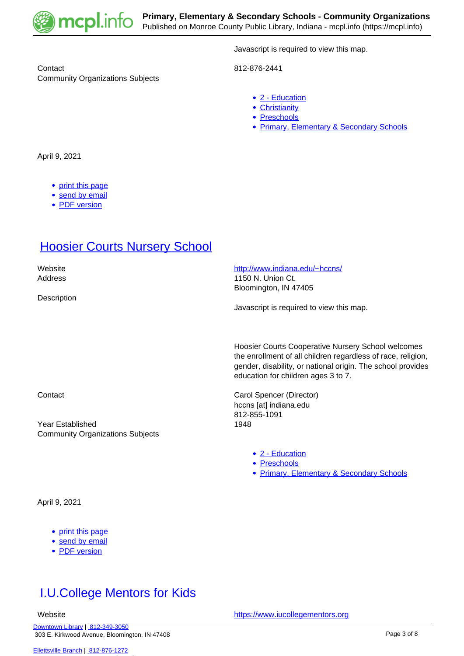

Contact 812-876-2441 Community Organizations Subjects

Javascript is required to view this map.

- [2 Education](https://mcpl.info/community-organization-subjects/24947)
- [Christianity](https://mcpl.info/community-organization-subjects/christianity)
- [Preschools](https://mcpl.info/taxonomy/term/24976)
- [Primary, Elementary & Secondary Schools](https://mcpl.info/taxonomy/term/24977)

April 9, 2021

- [print this page](https://mcpl.info/print/commorg/ellettsville-christian-chr-preschool)
- [send by email](https://mcpl.info/printmail/commorg/ellettsville-christian-chr-preschool)
- [PDF version](https://mcpl.info/printpdf/commorg/ellettsville-christian-chr-preschool)

# **[Hoosier Courts Nursery School](https://mcpl.info/commorg/hoosier-courts-nursery-school)**

Website <http://www.indiana.edu/~hccns/>

**Description** 

Address 1150 N. Union Ct. Bloomington, IN 47405

Javascript is required to view this map.

Hoosier Courts Cooperative Nursery School welcomes the enrollment of all children regardless of race, religion, gender, disability, or national origin. The school provides education for children ages 3 to 7.

Contact Contact Contact Contact Contact Contact Contact Contact Contact Contact Contact Contact Contact Contact Contact Contact Contact Contact Contact Contact Contact Contact Contact Contact Contact Contact Contact Contac hccns [at] indiana.edu 812-855-1091

- [2 Education](https://mcpl.info/community-organization-subjects/24947)
- [Preschools](https://mcpl.info/taxonomy/term/24976)
- [Primary, Elementary & Secondary Schools](https://mcpl.info/taxonomy/term/24977)

Year Established 1948 Community Organizations Subjects

April 9, 2021

- [print this page](https://mcpl.info/print/commorg/hoosier-courts-nursery-school)
- [send by email](https://mcpl.info/printmail/commorg/hoosier-courts-nursery-school)
- [PDF version](https://mcpl.info/printpdf/commorg/hoosier-courts-nursery-school)

# [I.U.College Mentors for Kids](https://mcpl.info/commorg/iucollege-mentors-kids)

Website **<https://www.iucollegementors.org>**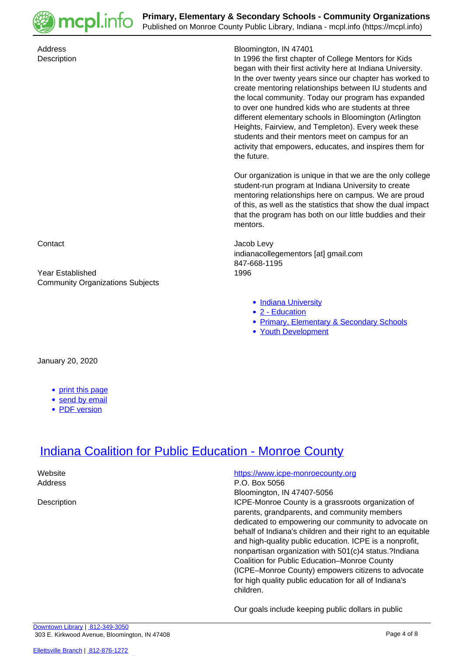

Address Bloomington, IN 47401 Description In 1996 the first chapter of College Mentors for Kids began with their first activity here at Indiana University. In the over twenty years since our chapter has worked to create mentoring relationships between IU students and the local community. Today our program has expanded to over one hundred kids who are students at three different elementary schools in Bloomington (Arlington Heights, Fairview, and Templeton). Every week these students and their mentors meet on campus for an activity that empowers, educates, and inspires them for the future. Our organization is unique in that we are the only college student-run program at Indiana University to create mentoring relationships here on campus. We are proud of this, as well as the statistics that show the dual impact that the program has both on our little buddies and their mentors. Contact Jacob Levy indianacollegementors [at] gmail.com 847-668-1195 Year Established 1996 Community Organizations Subjects • [Indiana University](https://mcpl.info/community-organization-subjects/indiana-university) ● [2 - Education](https://mcpl.info/community-organization-subjects/24947) • [Primary, Elementary & Secondary Schools](https://mcpl.info/taxonomy/term/24977) [Youth Development](https://mcpl.info/community-organization-subjects/youth-development) January 20, 2020

- [print this page](https://mcpl.info/print/commorg/iucollege-mentors-kids)
- [send by email](https://mcpl.info/printmail/commorg/iucollege-mentors-kids)
- [PDF version](https://mcpl.info/printpdf/commorg/iucollege-mentors-kids)

# **[Indiana Coalition for Public Education - Monroe County](https://mcpl.info/commorg/indiana-coalition-public-education-monroe-county)**

Website **<https://www.icpe-monroecounty.org>** Address P.O. Box 5056 Bloomington, IN 47407-5056 Description **ICPE-Monroe County is a grassroots organization of ICPE-Monroe County is a grassroots organization of** parents, grandparents, and community members dedicated to empowering our community to advocate on behalf of Indiana's children and their right to an equitable and high-quality public education. ICPE is a nonprofit, nonpartisan organization with 501(c)4 status.?Indiana Coalition for Public Education–Monroe County (ICPE–Monroe County) empowers citizens to advocate for high quality public education for all of Indiana's children.

Our goals include keeping public dollars in public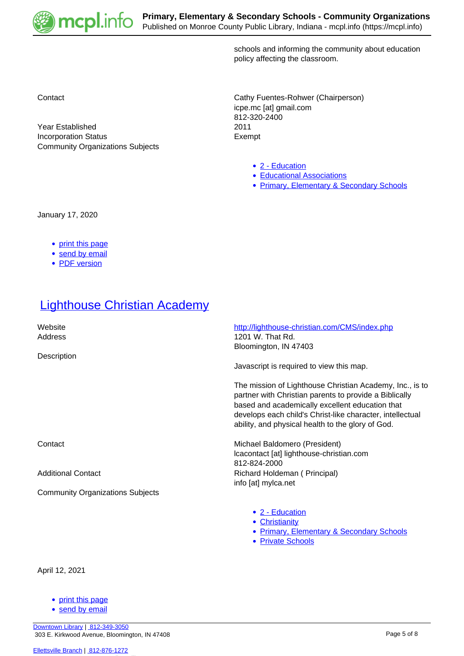

schools and informing the community about education policy affecting the classroom.

Contact Contact Contact Contact Contact Contact Contact Contact Contact Contact Contact Contact Contact Contact Contact Contact Contact Contact Contact Contact Contact Contact Contact Contact Contact Contact Contact Contac icpe.mc [at] gmail.com 812-320-2400 Year Established 2011 Incorporation Status **Exempt** 

- [2 Education](https://mcpl.info/community-organization-subjects/24947)
- [Educational Associations](https://mcpl.info/taxonomy/term/24963)
- [Primary, Elementary & Secondary Schools](https://mcpl.info/taxonomy/term/24977)

January 17, 2020

• [print this page](https://mcpl.info/print/commorg/indiana-coalition-public-education-monroe-county)

Community Organizations Subjects

- [send by email](https://mcpl.info/printmail/commorg/indiana-coalition-public-education-monroe-county)
- [PDF version](https://mcpl.info/printpdf/commorg/indiana-coalition-public-education-monroe-county)

## **[Lighthouse Christian Academy](https://mcpl.info/commorg/lighthouse-christian-academy)**

| Website<br>Address<br>Description       | http://lighthouse-christian.com/CMS/index.php<br>1201 W. That Rd.<br>Bloomington, IN 47403<br>Javascript is required to view this map.                                                                                                                                                  |
|-----------------------------------------|-----------------------------------------------------------------------------------------------------------------------------------------------------------------------------------------------------------------------------------------------------------------------------------------|
|                                         | The mission of Lighthouse Christian Academy, Inc., is to<br>partner with Christian parents to provide a Biblically<br>based and academically excellent education that<br>develops each child's Christ-like character, intellectual<br>ability, and physical health to the glory of God. |
| Contact                                 | Michael Baldomero (President)<br>Icacontact [at] lighthouse-christian.com<br>812-824-2000                                                                                                                                                                                               |
| <b>Additional Contact</b>               | Richard Holdeman (Principal)<br>info [at] mylca.net                                                                                                                                                                                                                                     |
| <b>Community Organizations Subjects</b> |                                                                                                                                                                                                                                                                                         |
|                                         | • 2 - Education<br>• Christianity<br><b>Primary, Elementary &amp; Secondary Schools</b><br><b>Private Schools</b><br>$\bullet$                                                                                                                                                          |

April 12, 2021

- [print this page](https://mcpl.info/print/commorg/lighthouse-christian-academy)
- [send by email](https://mcpl.info/printmail/commorg/lighthouse-christian-academy)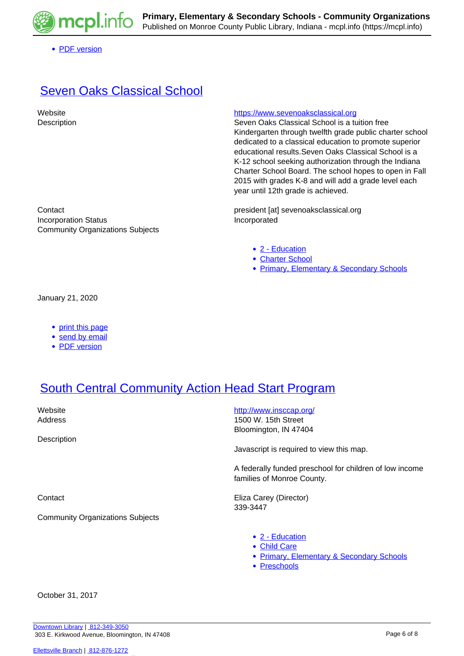

• [PDF version](https://mcpl.info/printpdf/commorg/lighthouse-christian-academy)

# [Seven Oaks Classical School](https://mcpl.info/commorg/seven-oaks-classical-school)

#### Website **<https://www.sevenoaksclassical.org>**

Description **Seven Oaks Classical School is a tuition free** Kindergarten through twelfth grade public charter school dedicated to a classical education to promote superior educational results.Seven Oaks Classical School is a K-12 school seeking authorization through the Indiana Charter School Board. The school hopes to open in Fall 2015 with grades K-8 and will add a grade level each year until 12th grade is achieved.

Contact president [at] sevenoaksclassical.org Incorporation Status **Incorporated** 

- [2 Education](https://mcpl.info/community-organization-subjects/24947)
- [Charter School](https://mcpl.info/taxonomy/term/24957)
- [Primary, Elementary & Secondary Schools](https://mcpl.info/taxonomy/term/24977)

January 21, 2020

• [print this page](https://mcpl.info/print/commorg/seven-oaks-classical-school)

Community Organizations Subjects

- [send by email](https://mcpl.info/printmail/commorg/seven-oaks-classical-school)
- [PDF version](https://mcpl.info/printpdf/commorg/seven-oaks-classical-school)

# [South Central Community Action Head Start Program](https://mcpl.info/commorg/south-central-community-action-head-start-program)

**Description** 

Website **<http://www.insccap.org/>** Address 1500 W. 15th Street Bloomington, IN 47404

Javascript is required to view this map.

A federally funded preschool for children of low income families of Monroe County.

Contact **Eliza Carey (Director)** 339-3447

Community Organizations Subjects

[2 - Education](https://mcpl.info/community-organization-subjects/24947)

- [Child Care](https://mcpl.info/taxonomy/term/24958)
- [Primary, Elementary & Secondary Schools](https://mcpl.info/taxonomy/term/24977)
- [Preschools](https://mcpl.info/taxonomy/term/24976)

October 31, 2017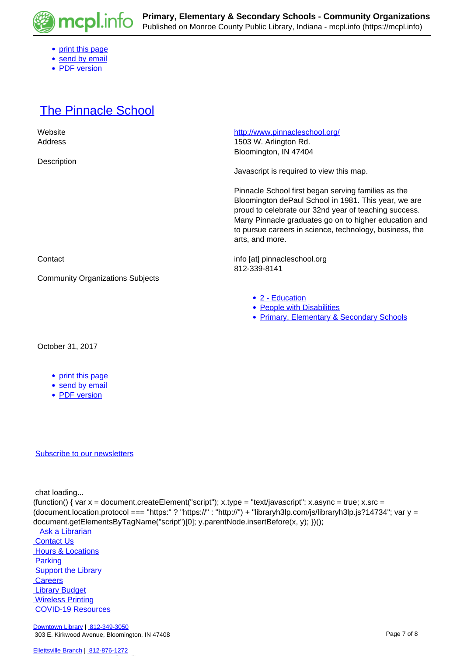

- [print this page](https://mcpl.info/print/commorg/south-central-community-action-head-start-program)
- [send by email](https://mcpl.info/printmail/commorg/south-central-community-action-head-start-program)
- [PDF version](https://mcpl.info/printpdf/commorg/south-central-community-action-head-start-program)

## [The Pinnacle School](https://mcpl.info/commorg/pinnacle-school)

| Website                                 | http://www.pinnacleschool.org/                                                                                                                                                                                                                                                                              |
|-----------------------------------------|-------------------------------------------------------------------------------------------------------------------------------------------------------------------------------------------------------------------------------------------------------------------------------------------------------------|
| Address                                 | 1503 W. Arlington Rd.                                                                                                                                                                                                                                                                                       |
|                                         | Bloomington, IN 47404                                                                                                                                                                                                                                                                                       |
| Description                             | Javascript is required to view this map.                                                                                                                                                                                                                                                                    |
|                                         | Pinnacle School first began serving families as the<br>Bloomington dePaul School in 1981. This year, we are<br>proud to celebrate our 32nd year of teaching success.<br>Many Pinnacle graduates go on to higher education and<br>to pursue careers in science, technology, business, the<br>arts, and more. |
| Contact                                 | info [at] pinnacleschool.org<br>812-339-8141                                                                                                                                                                                                                                                                |
| <b>Community Organizations Subjects</b> |                                                                                                                                                                                                                                                                                                             |
|                                         | • 2 - Education<br>• People with Disabilities<br><b>Primary, Elementary &amp; Secondary Schools</b><br>$\bullet$                                                                                                                                                                                            |

### October 31, 2017

- [print this page](https://mcpl.info/print/commorg/pinnacle-school)
- [send by email](https://mcpl.info/printmail/commorg/pinnacle-school)
- [PDF version](https://mcpl.info/printpdf/commorg/pinnacle-school)

### [Subscribe to our newsletters](https://mcpl.info/geninfo/subscribe-think-library-newsletter)

chat loading...

(function() { var  $x =$  document.createElement("script");  $x.$ type = "text/javascript";  $x.$ async = true;  $x.$ src = (document.location.protocol === "https:" ? "https://" : "http://") + "libraryh3lp.com/js/libraryh3lp.js?14734"; var y = document.getElementsByTagName("script")[0]; y.parentNode.insertBefore(x, y); })();

Ask a Librarian  [Contact Us](https://mcpl.info/geninfo/contact-us) **Hours & Locations Parking**  [Support the Library](https://mcpl.info/geninfo/support-library?utm_source=footer&utm_medium=links&utm_campaign=support%20) **Careers Library Budget Wireless Printing**  [COVID-19 Resources](https://mcpl.info/geninfo/local-covid-resources)